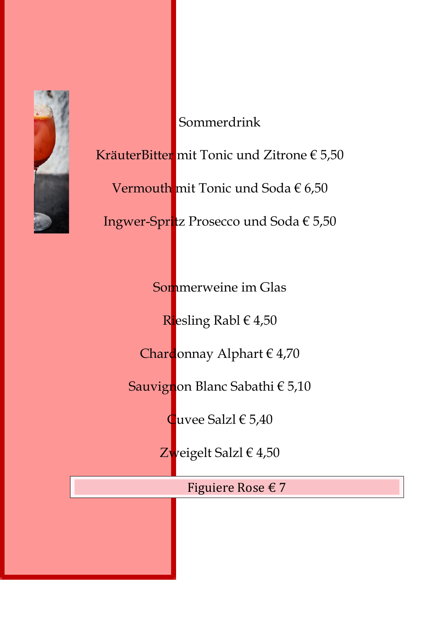

Sommerdrink KräuterBitter mit Tonic und Zitrone € 5,50 Vermouth mit Tonic und Soda € 6,50 Ingwer-Spritz Prosecco und Soda € 5,50

Sommerweine im Glas

Riesling Rabl € 4,50

Chardonnay Alphart € 4,70

Sauvignon Blanc Sabathi € 5,10

Cuvee Salzl € 5,40

Zweigelt Salzl € 4,50

Figuiere Rose € 7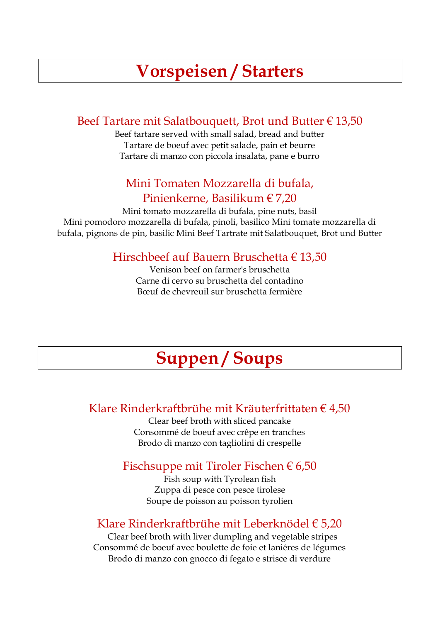# **Vorspeisen / Starters**

#### Beef Tartare mit Salatbouquett, Brot und Butter € 13,50

Beef tartare served with small salad, bread and butter Tartare de boeuf avec petit salade, pain et beurre Tartare di manzo con piccola insalata, pane e burro

#### Mini Tomaten Mozzarella di bufala, Pinienkerne, Basilikum € 7,20

Mini tomato mozzarella di bufala, pine nuts, basil Mini pomodoro mozzarella di bufala, pinoli, basilico Mini tomate mozzarella di bufala, pignons de pin, basilic Mini Beef Tartrate mit Salatbouquet, Brot und Butter

#### Hirschbeef auf Bauern Bruschetta € 13,50

Venison beef on farmer's bruschetta Carne di cervo su bruschetta del contadino Bœuf de chevreuil sur bruschetta fermière

# **Suppen / Soups**

#### Klare Rinderkraftbrühe mit Kräuterfrittaten € 4,50

Clear beef broth with sliced pancake Consommé de boeuf avec crêpe en tranches Brodo di manzo con tagliolini di crespelle

#### Fischsuppe mit Tiroler Fischen  $\epsilon$  6,50

Fish soup with Tyrolean fish Zuppa di pesce con pesce tirolese Soupe de poisson au poisson tyrolien

#### Klare Rinderkraftbrühe mit Leberknödel € 5,20

Clear beef broth with liver dumpling and vegetable stripes Consommé de boeuf avec boulette de foie et laniéres de légumes Brodo di manzo con gnocco di fegato e strisce di verdure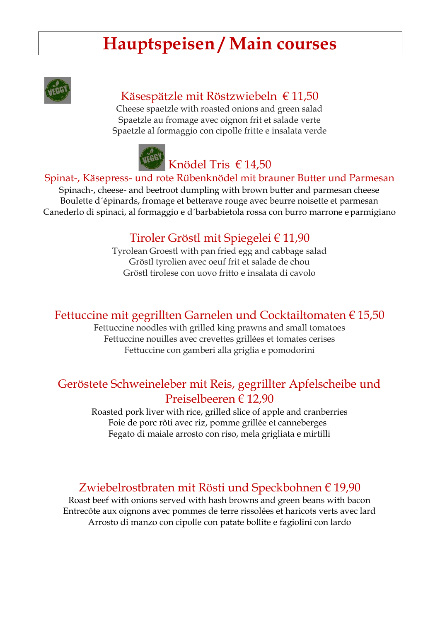# **Hauptspeisen / Main courses**



# Käsespätzle mit Röstzwiebeln € 11,50

Cheese spaetzle with roasted onions and green salad Spaetzle au fromage avec oignon frit et salade verte Spaetzle al formaggio con cipolle fritte e insalata verde



#### Spinat-, Käsepress- und rote Rübenknödel mit brauner Butter und Parmesan

Spinach-, cheese- and beetroot dumpling with brown butter and parmesan cheese Boulette d´épinards, fromage et betterave rouge avec beurre noisette et parmesan Canederlo di spinaci, al formaggio e d´barbabietola rossa con burro marrone eparmigiano

# Tiroler Gröstl mit Spiegelei € 11,90

Tyrolean Groestl with pan fried egg and cabbage salad Gröstl tyrolien avec oeuf frit et salade de chou Gröstl tirolese con uovo fritto e insalata di cavolo

#### Fettuccine mit gegrillten Garnelen und Cocktailtomaten € 15,50

Fettuccine noodles with grilled king prawns and small tomatoes Fettuccine nouilles avec crevettes grillées et tomates cerises Fettuccine con gamberi alla griglia e pomodorini

# Geröstete Schweineleber mit Reis, gegrillter Apfelscheibe und Preiselbeeren € 12,90

Roasted pork liver with rice, grilled slice of apple and cranberries Foie de porc rôti avec riz, pomme grillée et canneberges Fegato di maiale arrosto con riso, mela grigliata e mirtilli

#### Zwiebelrostbraten mit Rösti und Speckbohnen € 19,90

Roast beef with onions served with hash browns and green beans with bacon Entrecôte aux oignons avec pommes de terre rissolées et haricots verts avec lard Arrosto di manzo con cipolle con patate bollite e fagiolini con lardo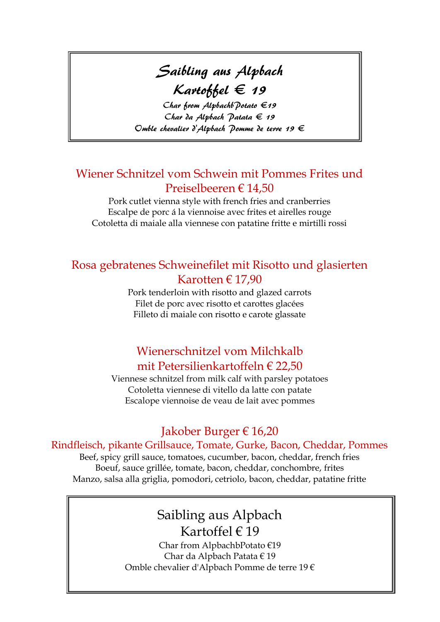# Saibling aus Alpbach  $K$ artoffel  $\in$  19

Char from Alpbachb Potato  $\epsilon$ 19 Char da Alpbach Patata  $\epsilon$  19 Omble chevalier d'Alpbach Pomme de terre 19  $\in$ 

#### Wiener Schnitzel vom Schwein mit Pommes Frites und Preiselbeeren € 14,50

Pork cutlet vienna style with french fries and cranberries Escalpe de porc á la viennoise avec frites et airelles rouge Cotoletta di maiale alla viennese con patatine fritte e mirtilli rossi

#### Rosa gebratenes Schweinefilet mit Risotto und glasierten Karotten € 17,90

Pork tenderloin with risotto and glazed carrots Filet de porc avec risotto et carottes glacées Filleto di maiale con risotto e carote glassate

# Wienerschnitzel vom Milchkalb mit Petersilienkartoffeln € 22,50

Viennese schnitzel from milk calf with parsley potatoes Cotoletta viennese di vitello da latte con patate Escalope viennoise de veau de lait avec pommes

# Jakober Burger € 16,20

#### Rindfleisch, pikante Grillsauce, Tomate, Gurke, Bacon, Cheddar, Pommes

Beef, spicy grill sauce, tomatoes, cucumber, bacon, cheddar, french fries Boeuf, sauce grillée, tomate, bacon, cheddar, conchombre, frites Manzo, salsa alla griglia, pomodori, cetriolo, bacon, cheddar, patatine fritte

#### Saibling aus Alpbach Kartoffel € 19

Char from AlpbachbPotato €19 Char da Alpbach Patata € 19 Omble chevalier d'Alpbach Pomme de terre 19 €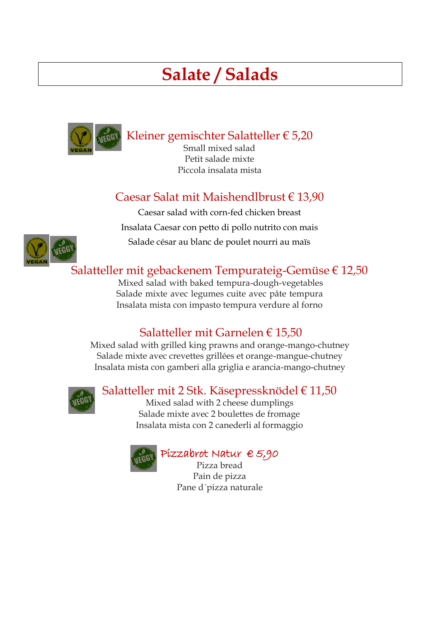# **Salate / Salads**



Kleiner gemischter Salatteller € 5,20

Small mixed salad Petit salade mixte Piccola insalata mista

# Caesar Salat mit Maishendlbrust € 13,90

Caesar salad with corn-fed chicken breast Insalata Caesar con petto di pollo nutrito con mais Salade césar au blanc de poulet nourri au maïs



# Salatteller mit gebackenem Tempurateig-Gemüse € 12,50

Mixed salad with baked tempura-dough-vegetables Salade mixte avec legumes cuite avec pâte tempura Insalata mista con impasto tempura verdure al forno

# Salatteller mit Garnelen € 15,50

Mixed salad with grilled king prawns and orange-mango-chutney Salade mixte avec crevettes grillées et orange-mangue-chutney Insalata mista con gamberi alla griglia e arancia-mango-chutney



# Salatteller mit 2 Stk. Käsepressknödel € 11,50

Mixed salad with 2 cheese dumplings Salade mixte avec 2 boulettes de fromage Insalata mista con 2 canederli al formaggio



#### Pizzabrot Natur € 5,90

Pizza bread Pain de pizza Pane d´pizza naturale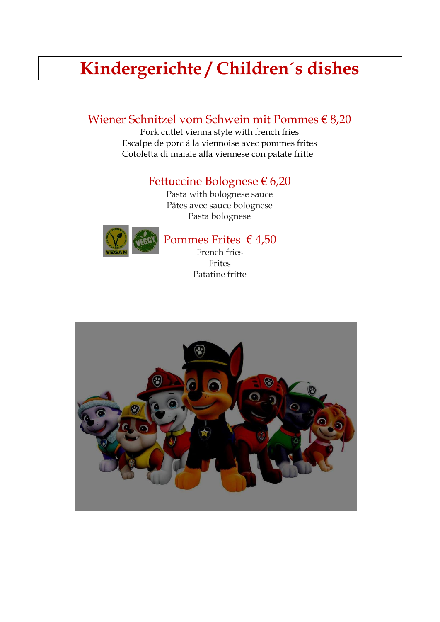# **Kindergerichte / Children´s dishes**

## Wiener Schnitzel vom Schwein mit Pommes € 8,20

Pork cutlet vienna style with french fries Escalpe de porc á la viennoise avec pommes frites Cotoletta di maiale alla viennese con patate fritte

#### Fettuccine Bolognese € 6,20

Pasta with bolognese sauce Pâtes avec sauce bolognese Pasta bolognese



# Pommes Frites € 4,50

French fries Frites Patatine fritte